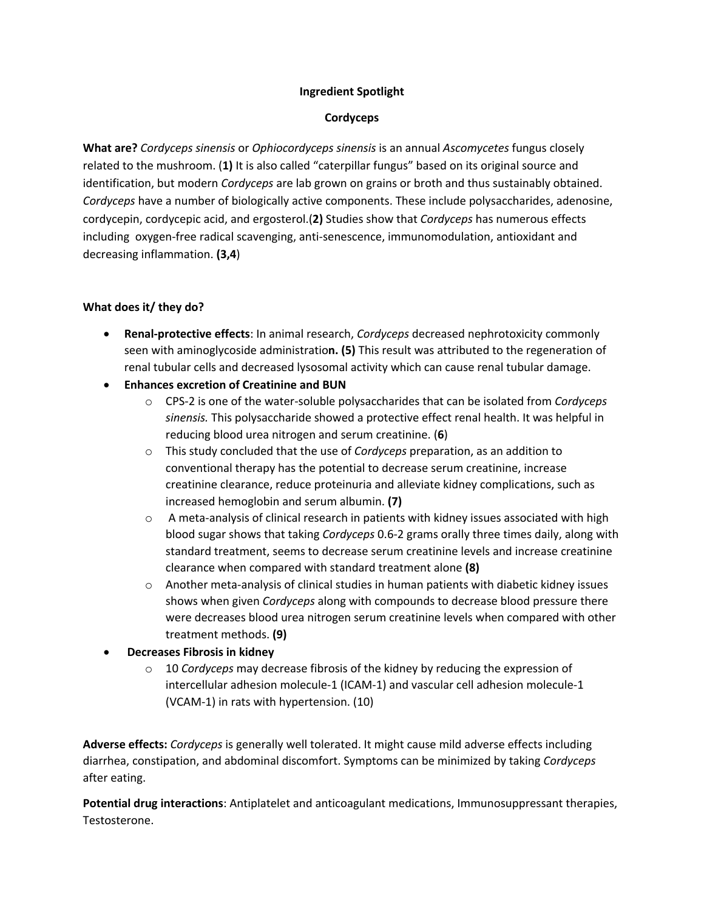## **Ingredient Spotlight**

## **Cordyceps**

**What are?** *Cordyceps sinensis* or *Ophiocordyceps sinensis* is an annual *Ascomycetes* fungus closely related to the mushroom. (**1)** It is also called "caterpillar fungus" based on its original source and identification, but modern *Cordyceps* are lab grown on grains or broth and thus sustainably obtained. *Cordyceps* have a number of biologically active components. These include polysaccharides, adenosine, cordycepin, cordycepic acid, and ergosterol.(**2)** Studies show that *Cordyceps* has numerous effects including oxygen-free radical scavenging, anti-senescence, immunomodulation, antioxidant and decreasing inflammation. **(3,4**)

## **What does it/ they do?**

- **Renal-protective effects**: In animal research, *Cordyceps* decreased nephrotoxicity commonly seen with aminoglycoside administratio**n. (5)** This result was attributed to the regeneration of renal tubular cells and decreased lysosomal activity which can cause renal tubular damage.
- **Enhances excretion of Creatinine and BUN**
	- o CPS-2 is one of the water-soluble polysaccharides that can be isolated from *Cordyceps sinensis.* This polysaccharide showed a protective effect renal health. It was helpful in reducing blood urea nitrogen and serum creatinine. (**6**)
	- o This study concluded that the use of *Cordyceps* preparation, as an addition to conventional therapy has the potential to decrease serum creatinine, increase creatinine clearance, reduce proteinuria and alleviate kidney complications, such as increased hemoglobin and serum albumin. **(7)**
	- $\circ$  A meta-analysis of clinical research in patients with kidney issues associated with high blood sugar shows that taking *Cordyceps* 0.6-2 grams orally three times daily, along with standard treatment, seems to decrease serum creatinine levels and increase creatinine clearance when compared with standard treatment alone **(8)**
	- $\circ$  Another meta-analysis of clinical studies in human patients with diabetic kidney issues shows when given *Cordyceps* along with compounds to decrease blood pressure there were decreases blood urea nitrogen serum creatinine levels when compared with other treatment methods. **(9)**
- **Decreases Fibrosis in kidney**
	- o 10 *Cordyceps* may decrease fibrosis of the kidney by reducing the expression of intercellular adhesion molecule-1 (ICAM-1) and vascular cell adhesion molecule-1 (VCAM-1) in rats with hypertension. (10)

**Adverse effects:** *Cordyceps* is generally well tolerated. It might cause mild adverse effects including diarrhea, constipation, and abdominal discomfort. Symptoms can be minimized by taking *Cordyceps* after eating.

**Potential drug interactions**: Antiplatelet and anticoagulant medications, Immunosuppressant therapies, Testosterone.